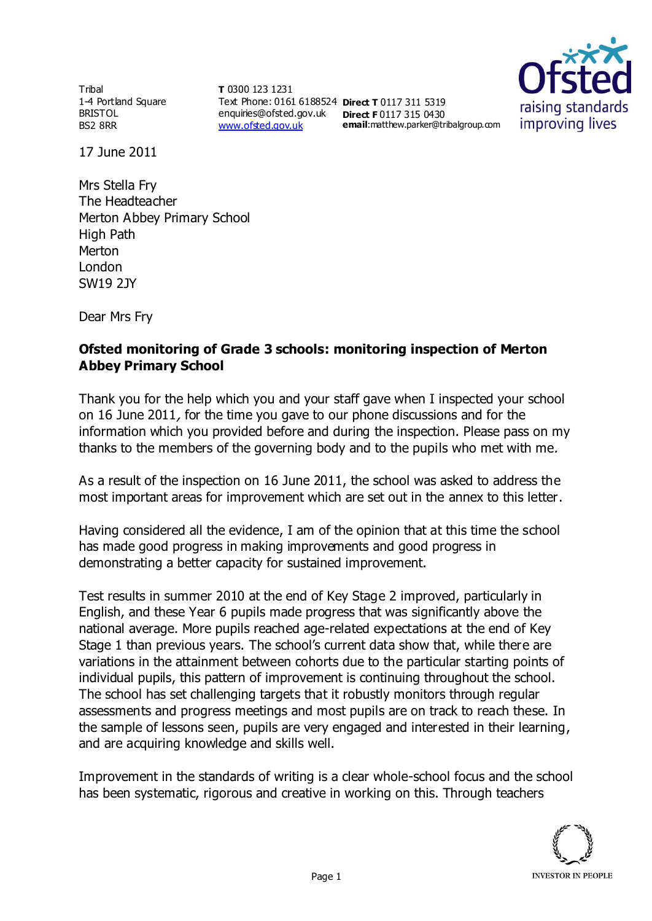**Tribal** 1-4 Portland Square BRISTOL BS2 8RR

**T** 0300 123 1231 Text Phone: 0161 6188524 **Direct T** 0117 311 5319 enquiries@ofsted.gov.uk **Direct F** 0117 315 0430 [www.ofsted.gov.uk](http://www.ofsted.gov.uk/)

**email**:matthew.parker@tribalgroup.com



17 June 2011

Mrs Stella Fry The Headteacher Merton Abbey Primary School High Path Merton London SW19 2JY

Dear Mrs Fry

## **Ofsted monitoring of Grade 3 schools: monitoring inspection of Merton Abbey Primary School**

Thank you for the help which you and your staff gave when I inspected your school on 16 June 2011, for the time you gave to our phone discussions and for the information which you provided before and during the inspection. Please pass on my thanks to the members of the governing body and to the pupils who met with me.

As a result of the inspection on 16 June 2011, the school was asked to address the most important areas for improvement which are set out in the annex to this letter.

Having considered all the evidence, I am of the opinion that at this time the school has made good progress in making improvements and good progress in demonstrating a better capacity for sustained improvement.

Test results in summer 2010 at the end of Key Stage 2 improved, particularly in English, and these Year 6 pupils made progress that was significantly above the national average. More pupils reached age-related expectations at the end of Key Stage 1 than previous years. The school's current data show that, while there are variations in the attainment between cohorts due to the particular starting points of individual pupils, this pattern of improvement is continuing throughout the school. The school has set challenging targets that it robustly monitors through regular assessments and progress meetings and most pupils are on track to reach these. In the sample of lessons seen, pupils are very engaged and interested in their learning, and are acquiring knowledge and skills well.

Improvement in the standards of writing is a clear whole-school focus and the school has been systematic, rigorous and creative in working on this. Through teachers

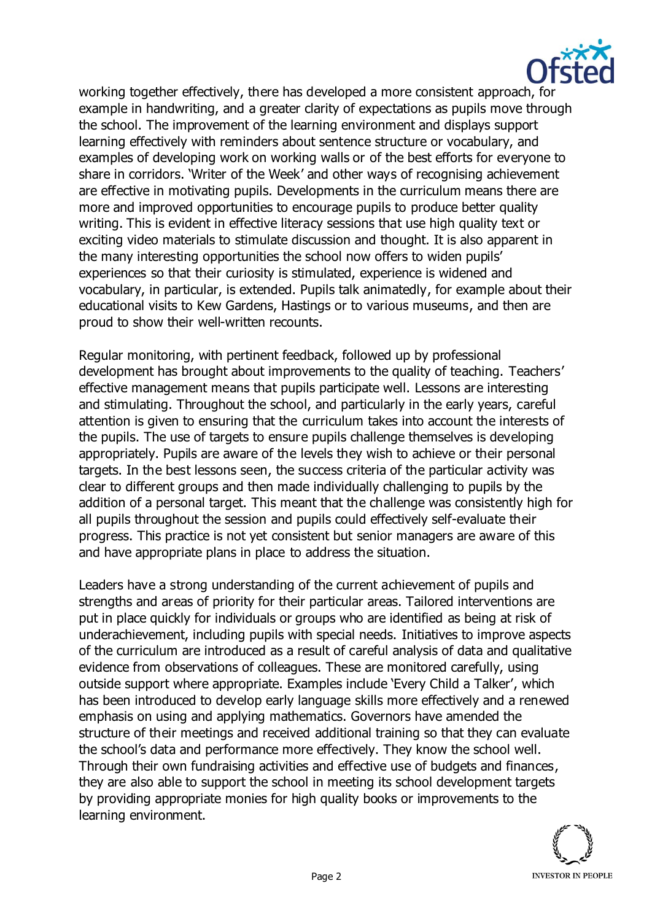

working together effectively, there has developed a more consistent approach, for example in handwriting, and a greater clarity of expectations as pupils move through the school. The improvement of the learning environment and displays support learning effectively with reminders about sentence structure or vocabulary, and examples of developing work on working walls or of the best efforts for everyone to share in corridors. 'Writer of the Week' and other ways of recognising achievement are effective in motivating pupils. Developments in the curriculum means there are more and improved opportunities to encourage pupils to produce better quality writing. This is evident in effective literacy sessions that use high quality text or exciting video materials to stimulate discussion and thought. It is also apparent in the many interesting opportunities the school now offers to widen pupils' experiences so that their curiosity is stimulated, experience is widened and vocabulary, in particular, is extended. Pupils talk animatedly, for example about their educational visits to Kew Gardens, Hastings or to various museums, and then are proud to show their well-written recounts.

Regular monitoring, with pertinent feedback, followed up by professional development has brought about improvements to the quality of teaching. Teachers' effective management means that pupils participate well. Lessons are interesting and stimulating. Throughout the school, and particularly in the early years, careful attention is given to ensuring that the curriculum takes into account the interests of the pupils. The use of targets to ensure pupils challenge themselves is developing appropriately. Pupils are aware of the levels they wish to achieve or their personal targets. In the best lessons seen, the success criteria of the particular activity was clear to different groups and then made individually challenging to pupils by the addition of a personal target. This meant that the challenge was consistently high for all pupils throughout the session and pupils could effectively self-evaluate their progress. This practice is not yet consistent but senior managers are aware of this and have appropriate plans in place to address the situation.

Leaders have a strong understanding of the current achievement of pupils and strengths and areas of priority for their particular areas. Tailored interventions are put in place quickly for individuals or groups who are identified as being at risk of underachievement, including pupils with special needs. Initiatives to improve aspects of the curriculum are introduced as a result of careful analysis of data and qualitative evidence from observations of colleagues. These are monitored carefully, using outside support where appropriate. Examples include 'Every Child a Talker', which has been introduced to develop early language skills more effectively and a renewed emphasis on using and applying mathematics. Governors have amended the structure of their meetings and received additional training so that they can evaluate the school's data and performance more effectively. They know the school well. Through their own fundraising activities and effective use of budgets and finances, they are also able to support the school in meeting its school development targets by providing appropriate monies for high quality books or improvements to the learning environment.

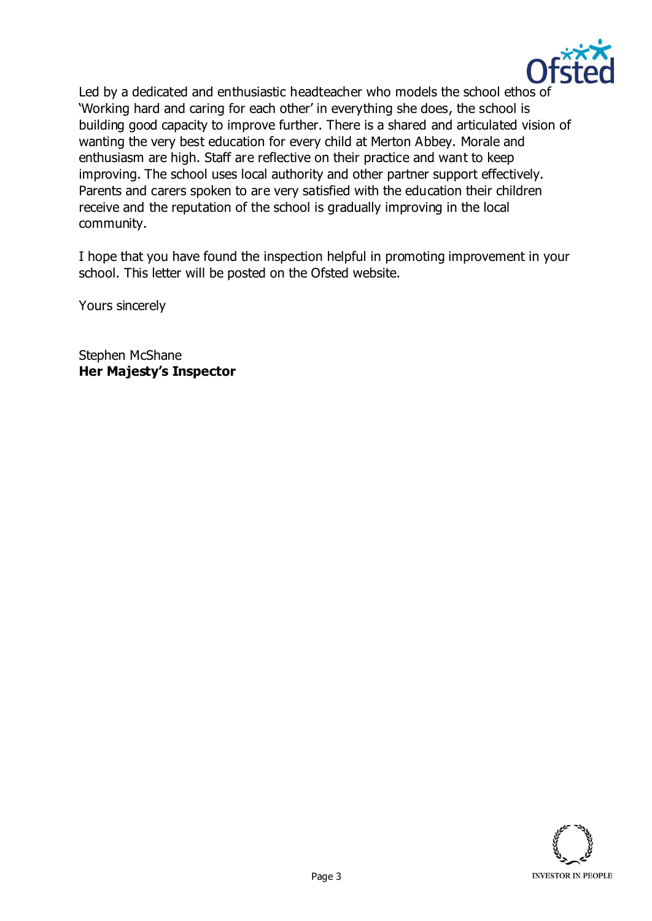

Led by a dedicated and enthusiastic headteacher who models the school ethos of 'Working hard and caring for each other' in everything she does, the school is building good capacity to improve further. There is a shared and articulated vision of wanting the very best education for every child at Merton Abbey. Morale and enthusiasm are high. Staff are reflective on their practice and want to keep improving. The school uses local authority and other partner support effectively. Parents and carers spoken to are very satisfied with the education their children receive and the reputation of the school is gradually improving in the local community.

I hope that you have found the inspection helpful in promoting improvement in your school. This letter will be posted on the Ofsted website.

Yours sincerely

Stephen McShane **Her Majesty's Inspector**